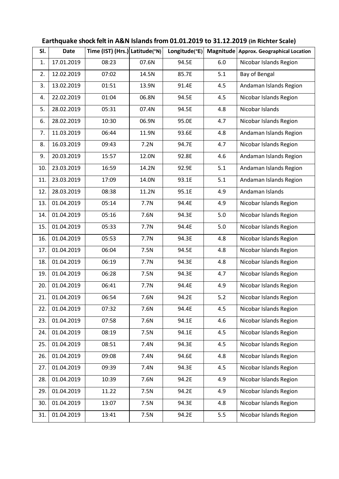| SI. | <b>Date</b> | Time (IST) (Hrs.) Latitude(°N) |       | Longitude(°E) | Magnitude | <b>Approx. Geographical Location</b> |
|-----|-------------|--------------------------------|-------|---------------|-----------|--------------------------------------|
| 1.  | 17.01.2019  | 08:23                          | 07.6N | 94.5E         | 6.0       | Nicobar Islands Region               |
| 2.  | 12.02.2019  | 07:02                          | 14.5N | 85.7E         | 5.1       | Bay of Bengal                        |
| 3.  | 13.02.2019  | 01:51                          | 13.9N | 91.4E         | 4.5       | Andaman Islands Region               |
| 4.  | 22.02.2019  | 01:04                          | 06.8N | 94.5E         | 4.5       | Nicobar Islands Region               |
| 5.  | 28.02.2019  | 05:31                          | 07.4N | 94.5E         | 4.8       | Nicobar Islands                      |
| 6.  | 28.02.2019  | 10:30                          | 06.9N | 95.0E         | 4.7       | Nicobar Islands Region               |
| 7.  | 11.03.2019  | 06:44                          | 11.9N | 93.6E         | 4.8       | Andaman Islands Region               |
| 8.  | 16.03.2019  | 09:43                          | 7.2N  | 94.7E         | 4.7       | Nicobar Islands Region               |
| 9.  | 20.03.2019  | 15:57                          | 12.0N | 92.8E         | 4.6       | Andaman Islands Region               |
| 10. | 23.03.2019  | 16:59                          | 14.2N | 92.9E         | 5.1       | Andaman Islands Region               |
| 11. | 23.03.2019  | 17:09                          | 14.0N | 93.1E         | 5.1       | Andaman Islands Region               |
| 12. | 28.03.2019  | 08:38                          | 11.2N | 95.1E         | 4.9       | Andaman Islands                      |
| 13. | 01.04.2019  | 05:14                          | 7.7N  | 94.4E         | 4.9       | Nicobar Islands Region               |
| 14. | 01.04.2019  | 05:16                          | 7.6N  | 94.3E         | 5.0       | Nicobar Islands Region               |
| 15. | 01.04.2019  | 05:33                          | 7.7N  | 94.4E         | 5.0       | Nicobar Islands Region               |
| 16. | 01.04.2019  | 05:53                          | 7.7N  | 94.3E         | 4.8       | Nicobar Islands Region               |
| 17. | 01.04.2019  | 06:04                          | 7.5N  | 94.5E         | 4.8       | Nicobar Islands Region               |
| 18. | 01.04.2019  | 06:19                          | 7.7N  | 94.3E         | 4.8       | Nicobar Islands Region               |
| 19. | 01.04.2019  | 06:28                          | 7.5N  | 94.3E         | 4.7       | Nicobar Islands Region               |
| 20. | 01.04.2019  | 06:41                          | 7.7N  | 94.4E         | 4.9       | Nicobar Islands Region               |
| 21. | 01.04.2019  | 06:54                          | 7.6N  | 94.2E         | 5.2       | Nicobar Islands Region               |
| 22. | 01.04.2019  | 07:32                          | 7.6N  | 94.4E         | 4.5       | Nicobar Islands Region               |
| 23. | 01.04.2019  | 07:58                          | 7.6N  | 94.1E         | 4.6       | Nicobar Islands Region               |
| 24. | 01.04.2019  | 08:19                          | 7.5N  | 94.1E         | 4.5       | Nicobar Islands Region               |
| 25. | 01.04.2019  | 08:51                          | 7.4N  | 94.3E         | 4.5       | Nicobar Islands Region               |
| 26. | 01.04.2019  | 09:08                          | 7.4N  | 94.6E         | 4.8       | Nicobar Islands Region               |
| 27. | 01.04.2019  | 09:39                          | 7.4N  | 94.3E         | 4.5       | Nicobar Islands Region               |
| 28. | 01.04.2019  | 10:39                          | 7.6N  | 94.2E         | 4.9       | Nicobar Islands Region               |
| 29. | 01.04.2019  | 11.22                          | 7.5N  | 94.2E         | 4.9       | Nicobar Islands Region               |
| 30. | 01.04.2019  | 13:07                          | 7.5N  | 94.3E         | 4.8       | Nicobar Islands Region               |
| 31. | 01.04.2019  | 13:41                          | 7.5N  | 94.2E         | 5.5       | Nicobar Islands Region               |

## **Earthquake shock felt in A&N Islands from 01.01.2019 to 31.12.2019 (in Richter Scale)**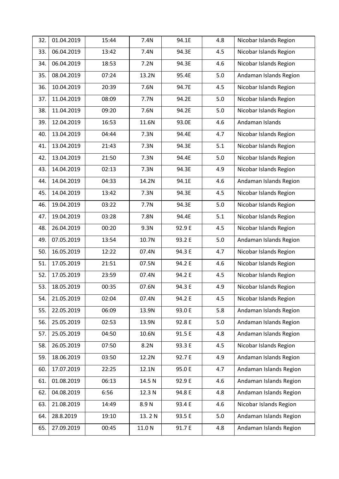| 32. | 01.04.2019 | 15:44 | 7.4N   | 94.1E  | 4.8 | Nicobar Islands Region |
|-----|------------|-------|--------|--------|-----|------------------------|
| 33. | 06.04.2019 | 13:42 | 7.4N   | 94.3E  | 4.5 | Nicobar Islands Region |
| 34. | 06.04.2019 | 18:53 | 7.2N   | 94.3E  | 4.6 | Nicobar Islands Region |
| 35. | 08.04.2019 | 07:24 | 13.2N  | 95.4E  | 5.0 | Andaman Islands Region |
| 36. | 10.04.2019 | 20:39 | 7.6N   | 94.7E  | 4.5 | Nicobar Islands Region |
| 37. | 11.04.2019 | 08:09 | 7.7N   | 94.2E  | 5.0 | Nicobar Islands Region |
| 38. | 11.04.2019 | 09:20 | 7.6N   | 94.2E  | 5.0 | Nicobar Islands Region |
| 39. | 12.04.2019 | 16:53 | 11.6N  | 93.0E  | 4.6 | Andaman Islands        |
| 40. | 13.04.2019 | 04:44 | 7.3N   | 94.4E  | 4.7 | Nicobar Islands Region |
| 41. | 13.04.2019 | 21:43 | 7.3N   | 94.3E  | 5.1 | Nicobar Islands Region |
| 42. | 13.04.2019 | 21:50 | 7.3N   | 94.4E  | 5.0 | Nicobar Islands Region |
| 43. | 14.04.2019 | 02:13 | 7.3N   | 94.3E  | 4.9 | Nicobar Islands Region |
| 44. | 14.04.2019 | 04:33 | 14.2N  | 94.1E  | 4.6 | Andaman Islands Region |
| 45. | 14.04.2019 | 13:42 | 7.3N   | 94.3E  | 4.5 | Nicobar Islands Region |
| 46. | 19.04.2019 | 03:22 | 7.7N   | 94.3E  | 5.0 | Nicobar Islands Region |
| 47. | 19.04.2019 | 03:28 | 7.8N   | 94.4E  | 5.1 | Nicobar Islands Region |
| 48. | 26.04.2019 | 00:20 | 9.3N   | 92.9 E | 4.5 | Nicobar Islands Region |
| 49. | 07.05.2019 | 13:54 | 10.7N  | 93.2 E | 5.0 | Andaman Islands Region |
| 50. | 16.05.2019 | 12:22 | 07.4N  | 94.3 E | 4.7 | Nicobar Islands Region |
| 51. | 17.05.2019 | 21:51 | 07.5N  | 94.2 E | 4.6 | Nicobar Islands Region |
| 52. | 17.05.2019 | 23:59 | 07.4N  | 94.2 E | 4.5 | Nicobar Islands Region |
| 53. | 18.05.2019 | 00:35 | 07.6N  | 94.3 E | 4.9 | Nicobar Islands Region |
| 54. | 21.05.2019 | 02:04 | 07.4N  | 94.2 E | 4.5 | Nicobar Islands Region |
| 55. | 22.05.2019 | 06:09 | 13.9N  | 93.0 E | 5.8 | Andaman Islands Region |
| 56. | 25.05.2019 | 02:53 | 13.9N  | 92.8 E | 5.0 | Andaman Islands Region |
| 57. | 25.05.2019 | 04:50 | 10.6N  | 91.5 E | 4.8 | Andaman Islands Region |
| 58. | 26.05.2019 | 07:50 | 8.2N   | 93.3 E | 4.5 | Nicobar Islands Region |
| 59. | 18.06.2019 | 03:50 | 12.2N  | 92.7 E | 4.9 | Andaman Islands Region |
| 60. | 17.07.2019 | 22:25 | 12.1N  | 95.0 E | 4.7 | Andaman Islands Region |
| 61. | 01.08.2019 | 06:13 | 14.5 N | 92.9 E | 4.6 | Andaman Islands Region |
| 62. | 04.08.2019 | 6:56  | 12.3 N | 94.8 E | 4.8 | Andaman Islands Region |
| 63. | 21.08.2019 | 14:49 | 8.9N   | 93.4 E | 4.6 | Nicobar Islands Region |
| 64. | 28.8.2019  | 19:10 | 13.2N  | 93.5 E | 5.0 | Andaman Islands Region |
| 65. | 27.09.2019 | 00:45 | 11.0 N | 91.7 E | 4.8 | Andaman Islands Region |